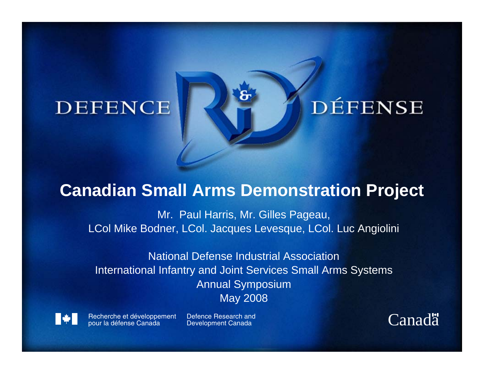#### **DEFENCE**

# **DÉFENSE**

#### **Canadian Small Arms Demonstration Project**

Mr. Paul Harris, Mr. Gilles Pageau, LCol Mike Bodner, LCol. Jacques Levesque, LCol. Luc Angiolini

National Defense Industrial AssociationInternational Infantry and Joint Services Small Arms Systems Annual Symposium May 2008



Recherche et développement pour la défense Canada

Defence Research and**Development Canada** 

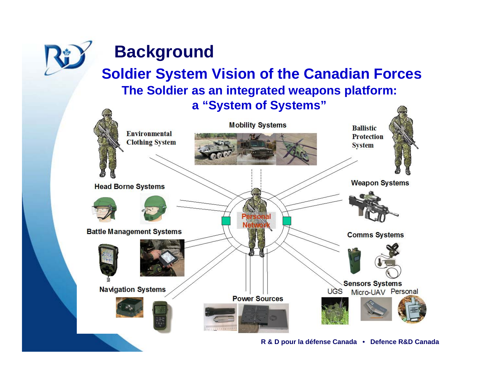

#### **Background**

#### **Soldier System Vision of the Canadian Forces The Soldier as an integrated weapons platform: a "System of Systems"**

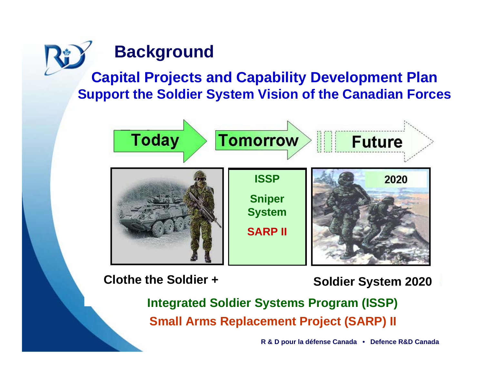## **Background**

**Capital Projects and Capability Development Plan Support the Soldier System Vision of the Canadian Forces**



**Clothe the Soldier +**

**Soldier System 2020**

**Integrated Soldier Systems Program (ISSP) Small Arms Replacement Project (SARP) II**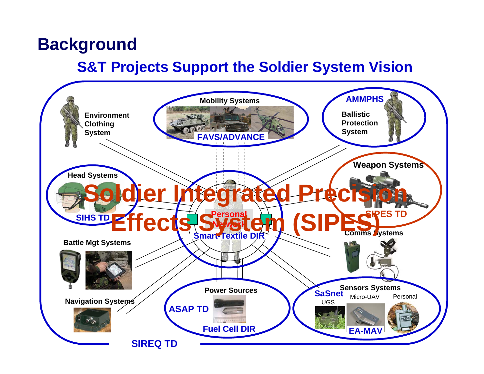#### **Background**

#### **S&T Projects Support the Soldier System Vision**

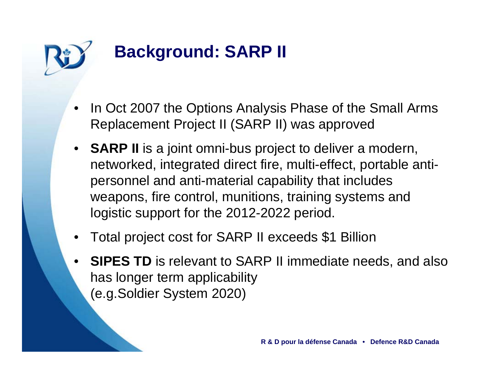

# **Background: SARP II**

- • In Oct 2007 the Options Analysis Phase of the Small Arms Replacement Project II (SARP II) was approved
- **SARP II** is a joint omni-bus project to deliver a modern, networked, integrated direct fire, multi-effect, portable antipersonnel and anti-material capability that includes weapons, fire control, munitions, training systems and logistic support for the 2012-2022 period.
- •Total project cost for SARP II exceeds \$1 Billion
- • **SIPES TD** is relevant to SARP II immediate needs, and also has longer term applicability (e.g.Soldier System 2020)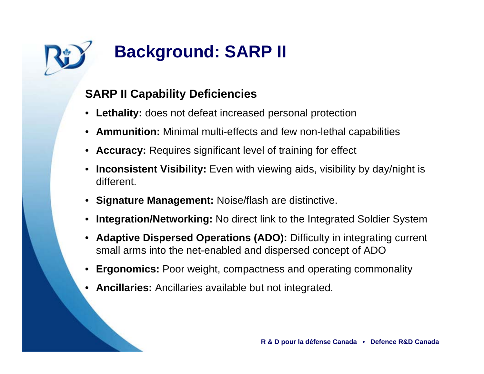

# **Background: SARP II**

#### **SARP II Capability Deficiencies**

- **Lethality:** does not defeat increased personal protection
- **Ammunition:** Minimal multi-effects and few non-lethal capabilities
- **Accuracy:** Requires significant level of training for effect
- • **Inconsistent Visibility:** Even with viewing aids, visibility by day/night is different.
- **Signature Management:** Noise/flash are distinctive.
- •**Integration/Networking:** No direct link to the Integrated Soldier System
- • **Adaptive Dispersed Operations (ADO):** Difficulty in integrating current small arms into the net-enabled and dispersed concept of ADO
- •**Ergonomics:** Poor weight, compactness and operating commonality
- •**Ancillaries:** Ancillaries available but not integrated.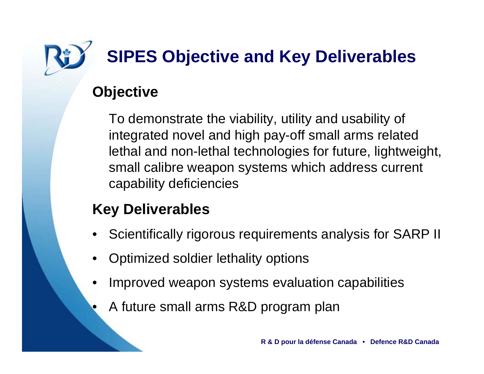

# **SIPES Objective and Key Deliverables**

#### **Objective**

•

To demonstrate the viability, utility and usability of integrated novel and high pay-off small arms related lethal and non-lethal technologies for future, lightweight, small calibre weapon systems which address current capability deficiencies

#### **Key Deliverables**

- •Scientifically rigorous requirements analysis for SARP II
- •Optimized soldier lethality options
- • Improved weapon systems evaluation capabilities
	- A future small arms R&D program plan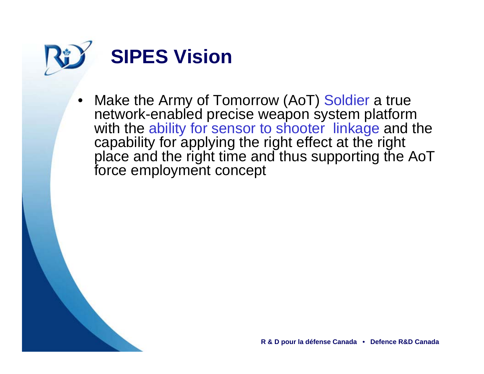



• Make the Army of Tomorrow (AoT) Soldier a true network-enabled precise weapon system platform with the ability for sensor to shooter linkage and the capability for applying the right effect at the right place and the right time and thus supporting the AoT force employment concept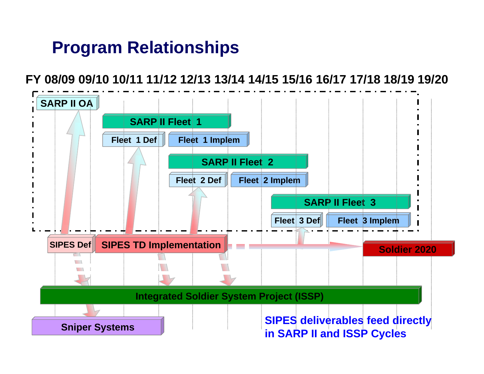#### **Program Relationships**

#### **FY 08/09 09/10 10/11 11/12 12/13 13/14 14/15 15/16 16/17 17/18 18/19 19/20**

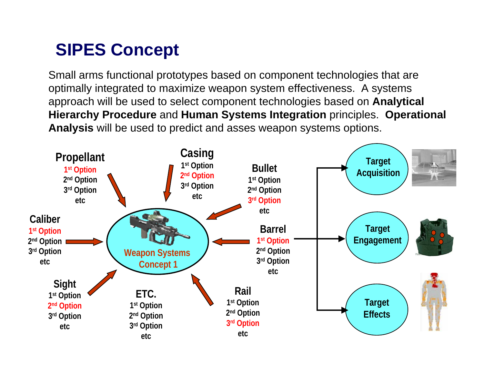### **SIPES Concept**

Small arms functional prototypes based on component technologies that are optimally integrated to maximize weapon system effectiveness. A systems approach will be used to select component technologies based on **Analytical Hierarchy Procedure** and **Human Systems Integration** principles. **Operational Analysis** will be used to predict and asses weapon systems options.

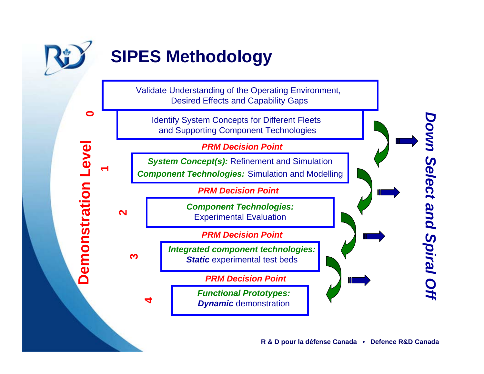

**0**

**Demonstration Level** 

**Demonstration Level** 

**1**

# **SIPES Methodology**

Validate Understanding of the Operating Environment, Desired Effects and Capability Gaps

Identify System Concepts for Different Fleets and Supporting Component Technologies

*PRM Decision Point*

*System Concept(s):* Refinement and Simulation *Component Technologies:* Simulation and Modelling

*PRM Decision Point*

**2**

**3** 

**4**

*Component Technologies:* Experim ental Evaluation

*PRM Decision Point*

*Integrated component technologies: Static* experimental test beds

*PRM Decision Point*

*Functional Prototypes: Dynamic* dem onstrati on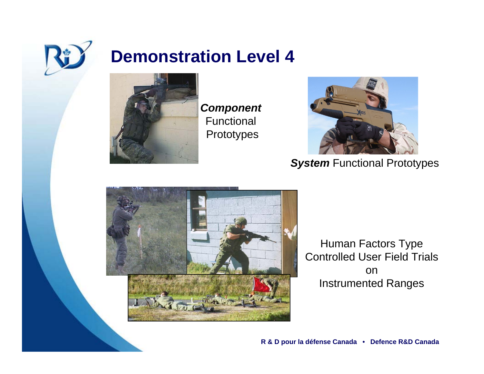

#### **Demonstration Level 4**



*Component* Functional Prototypes



**System** Functional Prototypes



Human Factors Type Controlled User Field Trials onInstrumented Ranges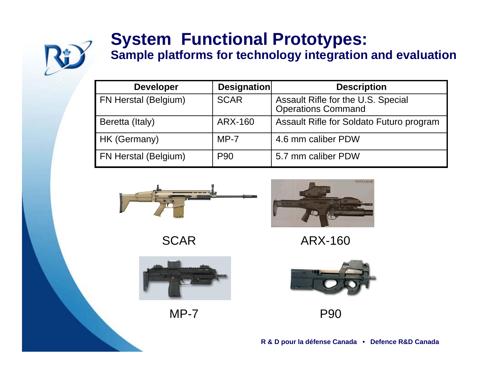

# **System Functional Prototypes:**

**Sample platforms for technology integration and evaluation**

| <b>Developer</b>     | Designation | <b>Description</b>                                              |
|----------------------|-------------|-----------------------------------------------------------------|
| FN Herstal (Belgium) | <b>SCAR</b> | Assault Rifle for the U.S. Special<br><b>Operations Command</b> |
| Beretta (Italy)      | ARX-160     | Assault Rifle for Soldato Futuro program                        |
| HK (Germany)         | $MP-7$      | 4.6 mm caliber PDW                                              |
| FN Herstal (Belgium) | <b>P90</b>  | 5.7 mm caliber PDW                                              |



**SCAR** 



MP-7



ARX-160



P90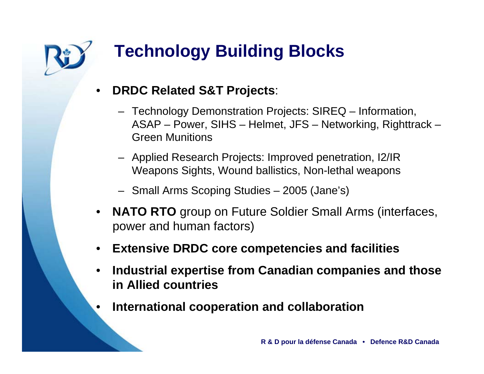

# **Technology Building Blocks**

- • **DRDC Related S&T Projects**:
	- Technology Demonstration Projects: SIREQ Information, ASAP – Power, SIHS – Helmet, JFS – Networking, Righttrack – Green Munitions
	- Applied Research Projects: Improved penetration, I2/IR Weapons Sights, Wound ballistics, Non-lethal weapons
	- Small Arms Scoping Studies 2005 (Jane's)
- $\bullet$  **NATO RTO** group on Future Soldier Small Arms (interfaces, power and human factors)
- •**Extensive DRDC core competencies and facilities**
- • **Industrial expertise from Canadian companies and those in Allied countries**
- •**International cooperation and collaboration**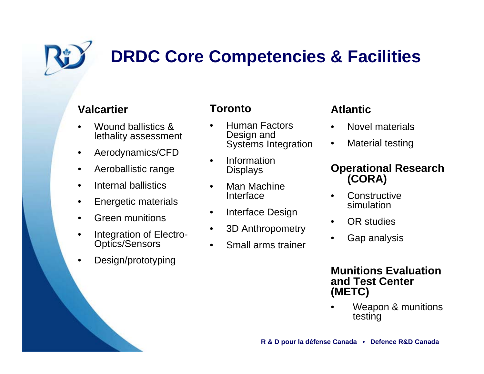

# **DRDC Core Competencies & Facilities**

#### **Valcartier**

- • Wound ballistics & lethality assessment
- •Aerodynamics/CFD
- •Aeroballistic range
- •Internal ballistics
- $\bullet$ Energetic materials
- •Green munitions
- • Integration of Electro-Optics/Sensors
- •Design/prototyping

#### **Toronto**

- • Human Factors Design and Systems Integration
- • Information **Displays**
- • Man Machine Interface
- •Interface Design
- •3D Anthropometry
- •Small arms trainer

#### **Atlantic**

- •Novel materials
- •Material testing

#### **Operational Research (CORA)**

- •**Constructive** simulation
- •OR studies
- •Gap analysis

#### **Munitions Evaluation and Test Center (METC)**

• Weapon & munitions testing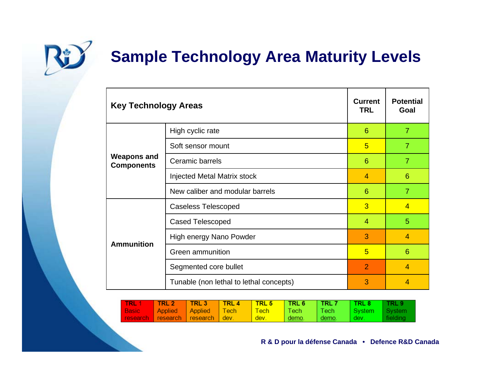

# **Sample Technology Area Maturity Levels**

| <b>Key Technology Areas</b>             |                                         |                | <b>Potential</b><br>Goal |
|-----------------------------------------|-----------------------------------------|----------------|--------------------------|
| <b>Weapons and</b><br><b>Components</b> | High cyclic rate                        | 6              | $\overline{7}$           |
|                                         | Soft sensor mount                       | 5              | $\overline{7}$           |
|                                         | Ceramic barrels                         |                | $\overline{7}$           |
|                                         | <b>Injected Metal Matrix stock</b>      | $\overline{4}$ | 6                        |
|                                         | New caliber and modular barrels         | 6              | $\overline{7}$           |
| <b>Ammunition</b>                       | <b>Caseless Telescoped</b>              | 3              | $\overline{4}$           |
|                                         | <b>Cased Telescoped</b>                 | 4              | 5                        |
|                                         | High energy Nano Powder                 | 3              | 4                        |
|                                         | Green ammunition                        | 5              | 6                        |
|                                         | Segmented core bullet                   | $\overline{2}$ | $\overline{4}$           |
|                                         | Tunable (non lethal to lethal concepts) | 3              | 4                        |

| <b>TRL 1</b> | <b>TRL 2N</b> | ∣TRL 3∣                         | TRL 4 | $\overline{\phantom{a}}$ TRL 5 | TRL 6 | I TRL 7                 | <b>TRL 8</b> | TRL 9    |
|--------------|---------------|---------------------------------|-------|--------------------------------|-------|-------------------------|--------------|----------|
| Basic,       |               | Applied Applied Tech            |       | ⊟ Techl                        | Tech  | $\P$ ech $\blacksquare$ | I Svstem -   | System   |
|              |               | research research research dev. |       | dev.                           | demo. | <u>demo</u> .           | l dev.       | fielding |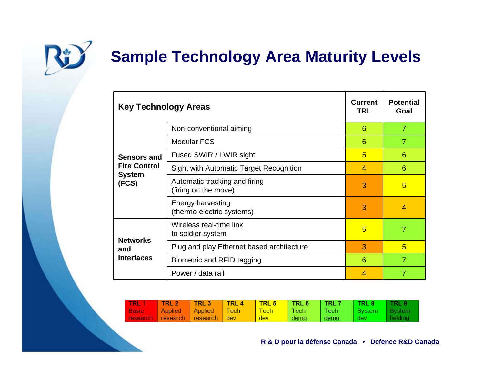

# **Sample Technology Area Maturity Levels**

| <b>Key Technology Areas</b>                                  | <b>Current</b><br><b>TRL</b>                          | <b>Potential</b><br>Goal |                |
|--------------------------------------------------------------|-------------------------------------------------------|--------------------------|----------------|
|                                                              | Non-conventional aiming                               | 6                        | $\overline{7}$ |
|                                                              | <b>Modular FCS</b>                                    | 6                        | $\overline{7}$ |
| Sensors and<br><b>Fire Control</b><br><b>System</b><br>(FCS) | Fused SWIR / LWIR sight                               | 5                        | 6              |
|                                                              | <b>Sight with Automatic Target Recognition</b>        | $\overline{4}$           | 6              |
|                                                              | Automatic tracking and firing<br>(firing on the move) | 3                        | 5              |
|                                                              | Energy harvesting<br>(thermo-electric systems)        | 3                        | $\overline{4}$ |
| <b>Networks</b><br>and<br><b>Interfaces</b>                  | Wireless real-time link<br>to soldier system          | 5                        | 7              |
|                                                              | Plug and play Ethernet based architecture             | 3                        | 5              |
|                                                              | Biometric and RFID tagging                            | 6                        | $\overline{7}$ |
|                                                              | Power / data rail                                     | $\overline{4}$           | $\overline{7}$ |

| <b>TRL 1</b> | <b>TRL 2</b> | TRL 3                                  | I TRL 4 | TRL 5       | <b>NTRL 6</b> | ∣ TRL 7      | TRL 8      | TRL 9    |
|--------------|--------------|----------------------------------------|---------|-------------|---------------|--------------|------------|----------|
| <b>Basic</b> |              | Applied Applied Tech                   |         | <b>Tech</b> | Tech          | <b>NTech</b> | l Svstem - | System   |
|              |              | <b>research</b> research research dev. |         | dev.        | demo.         | demo.        | , dev      | fielding |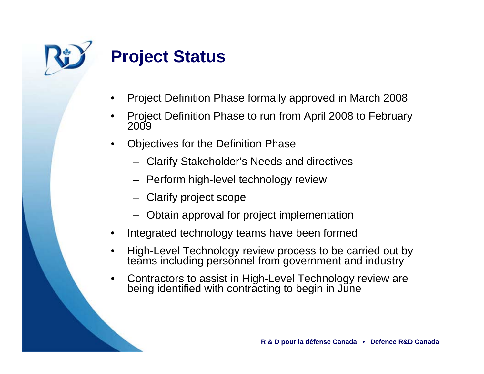

### **Project Status**

- •Project Definition Phase formally approved in March 2008
- •Project Definition Phase to run from April 2008 to February 2009
- • Objectives for the Definition Phase
	- Clarify Stakeholder's Needs and directives
	- Perform high-level technology review
	- Clarify project scope
	- –Obtain approval for project implementation
- •Integrated technology teams have been formed
- •High-Level Technology review process to be carried out by teams including personnel from government and industry
- •Contractors to assist in High-Level Technology review are being identified with contracting to begin in June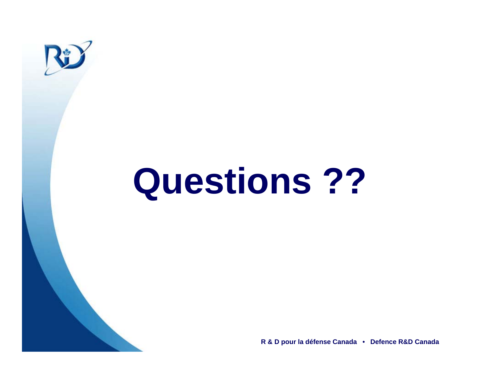

# **Questions ??**